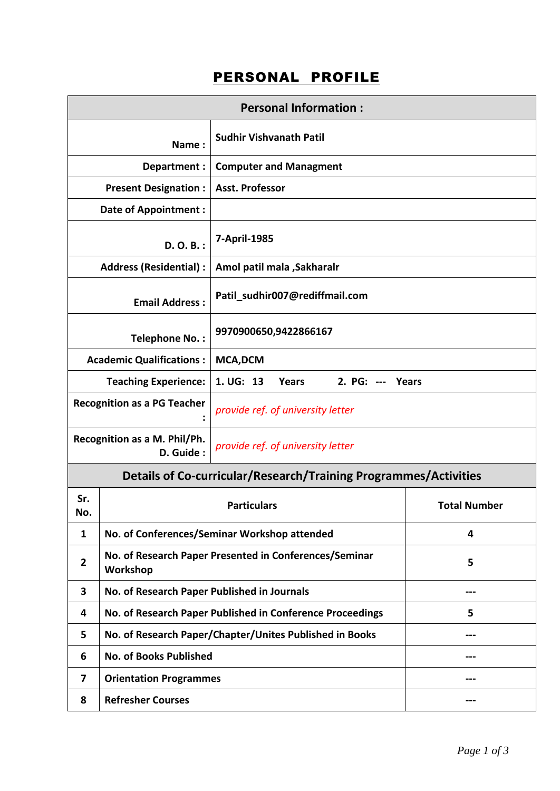## PERSONAL PROFILE

| <b>Personal Information:</b>                                                       |                                               |                     |  |  |  |  |  |
|------------------------------------------------------------------------------------|-----------------------------------------------|---------------------|--|--|--|--|--|
| Name:                                                                              |                                               |                     |  |  |  |  |  |
|                                                                                    | Department :<br><b>Computer and Managment</b> |                     |  |  |  |  |  |
| <b>Present Designation:</b>                                                        | <b>Asst. Professor</b>                        |                     |  |  |  |  |  |
| <b>Date of Appointment:</b>                                                        |                                               |                     |  |  |  |  |  |
| D. O. B.:                                                                          | 7-April-1985                                  |                     |  |  |  |  |  |
| <b>Address (Residential):</b>                                                      | Amol patil mala , Sakharalr                   |                     |  |  |  |  |  |
| <b>Email Address:</b>                                                              | Patil_sudhir007@rediffmail.com                |                     |  |  |  |  |  |
| <b>Telephone No.:</b>                                                              | 9970900650,9422866167                         |                     |  |  |  |  |  |
| <b>Academic Qualifications:</b>                                                    | <b>MCA,DCM</b>                                |                     |  |  |  |  |  |
| <b>Teaching Experience:</b>                                                        | 1. UG: 13<br>2. PG: --- Years<br><b>Years</b> |                     |  |  |  |  |  |
| <b>Recognition as a PG Teacher</b>                                                 | provide ref. of university letter             |                     |  |  |  |  |  |
| Recognition as a M. Phil/Ph.<br>D. Guide:                                          | provide ref. of university letter             |                     |  |  |  |  |  |
| Details of Co-curricular/Research/Training Programmes/Activities                   |                                               |                     |  |  |  |  |  |
| Sr.<br>No.                                                                         | <b>Particulars</b>                            | <b>Total Number</b> |  |  |  |  |  |
| No. of Conferences/Seminar Workshop attended<br>$\mathbf{1}$                       | 4                                             |                     |  |  |  |  |  |
| No. of Research Paper Presented in Conferences/Seminar<br>$\mathbf{2}$<br>Workshop | 5                                             |                     |  |  |  |  |  |
| No. of Research Paper Published in Journals<br>3                                   |                                               |                     |  |  |  |  |  |
| No. of Research Paper Published in Conference Proceedings<br>4                     | 5                                             |                     |  |  |  |  |  |
| No. of Research Paper/Chapter/Unites Published in Books<br>5.                      |                                               |                     |  |  |  |  |  |
| <b>No. of Books Published</b><br>6                                                 |                                               |                     |  |  |  |  |  |
| 7                                                                                  | <b>Orientation Programmes</b>                 |                     |  |  |  |  |  |
| <b>Refresher Courses</b><br>8                                                      |                                               |                     |  |  |  |  |  |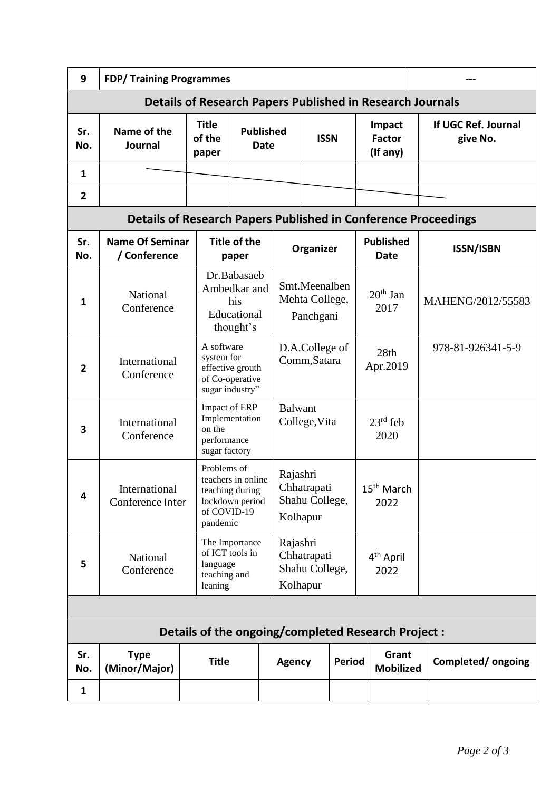| 9                                                                | <b>FDP/ Training Programmes</b>                                       |                                     |                                                                                                    |                          |                                                       |  |                                     |  |                                 |
|------------------------------------------------------------------|-----------------------------------------------------------------------|-------------------------------------|----------------------------------------------------------------------------------------------------|--------------------------|-------------------------------------------------------|--|-------------------------------------|--|---------------------------------|
| <b>Details of Research Papers Published in Research Journals</b> |                                                                       |                                     |                                                                                                    |                          |                                                       |  |                                     |  |                                 |
| Sr.<br>No.                                                       | Name of the<br>Journal                                                | <b>Title</b><br>of the<br>paper     |                                                                                                    | <b>Published</b><br>Date | <b>ISSN</b>                                           |  | Impact<br><b>Factor</b><br>(If any) |  | If UGC Ref. Journal<br>give No. |
| $\mathbf{1}$                                                     |                                                                       |                                     |                                                                                                    |                          |                                                       |  |                                     |  |                                 |
| $\overline{2}$                                                   |                                                                       |                                     |                                                                                                    |                          |                                                       |  |                                     |  |                                 |
|                                                                  | <b>Details of Research Papers Published in Conference Proceedings</b> |                                     |                                                                                                    |                          |                                                       |  |                                     |  |                                 |
| Sr.<br>No.                                                       | <b>Name Of Seminar</b><br>/ Conference                                |                                     | <b>Title of the</b><br>paper                                                                       |                          | Organizer                                             |  | <b>Published</b><br><b>Date</b>     |  | <b>ISSN/ISBN</b>                |
| 1                                                                | National<br>Conference                                                |                                     | Dr.Babasaeb<br>Ambedkar and<br>his<br>Educational<br>thought's                                     |                          | Smt.Meenalben<br>Mehta College,<br>Panchgani          |  | $20th$ Jan<br>2017                  |  | MAHENG/2012/55583               |
| 2                                                                | International<br>Conference                                           | A software<br>system for            | effective grouth<br>of Co-operative<br>sugar industry"                                             |                          | D.A.College of<br>Comm, Satara                        |  | 28th<br>Apr.2019                    |  | 978-81-926341-5-9               |
| 3                                                                | International<br>Conference                                           | on the                              | Impact of ERP<br>Implementation<br>performance<br>sugar factory                                    |                          | <b>Balwant</b><br>College, Vita                       |  | $23rd$ feb<br>2020                  |  |                                 |
| 4                                                                | International<br>Conference Inter                                     |                                     | Problems of<br>teachers in online<br>teaching during<br>lockdown period<br>of COVID-19<br>pandemic |                          | Rajashri<br>Chhatrapati<br>Shahu College,<br>Kolhapur |  | 15 <sup>th</sup> March<br>2022      |  |                                 |
| 5                                                                | National<br>Conference                                                | language<br>teaching and<br>leaning | The Importance<br>of ICT tools in                                                                  |                          | Rajashri<br>Chhatrapati<br>Shahu College,<br>Kolhapur |  | 4 <sup>th</sup> April<br>2022       |  |                                 |
|                                                                  |                                                                       |                                     |                                                                                                    |                          |                                                       |  |                                     |  |                                 |
| Details of the ongoing/completed Research Project :              |                                                                       |                                     |                                                                                                    |                          |                                                       |  |                                     |  |                                 |
| Sr.<br>No.                                                       | <b>Type</b><br>(Minor/Major)                                          | <b>Title</b>                        |                                                                                                    |                          | <b>Agency</b><br>Period                               |  | Grant<br><b>Mobilized</b>           |  | Completed/ongoing               |
| 1                                                                |                                                                       |                                     |                                                                                                    |                          |                                                       |  |                                     |  |                                 |